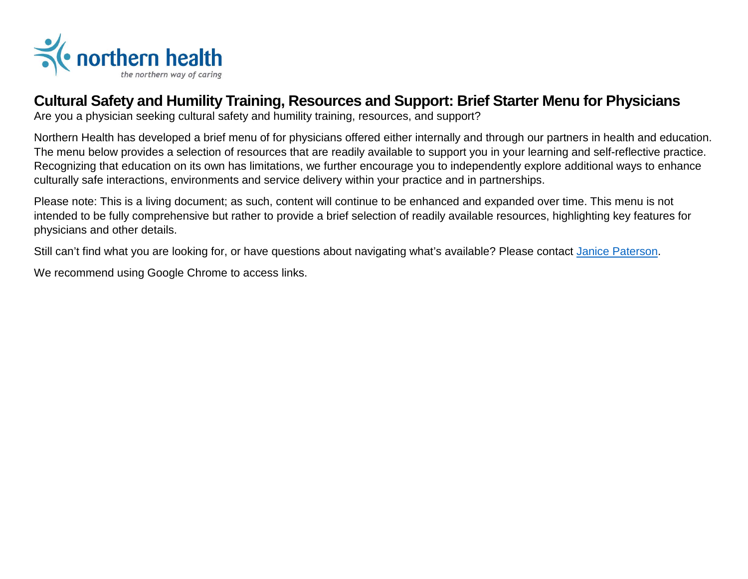

## **Cultural Safety and Humility Training, Resources and Support: Brief Starter Menu for Physicians**

Are you a physician seeking cultural safety and humility training, resources, and support?

Northern Health has developed a brief menu of for physicians offered either internally and through our partners in health and education. The menu below provides a selection of resources that are readily available to support you in your learning and self-reflective practice. Recognizing that education on its own has limitations, we further encourage you to independently explore additional ways to enhance culturally safe interactions, environments and service delivery within your practice and in partnerships.

Please note: This is a living document; as such, content will continue to be enhanced and expanded over time. This menu is not intended to be fully comprehensive but rather to provide a brief selection of readily available resources, highlighting key features for physicians and other details.

Still can't find what you are looking for, or have questions about navigating what's available? Please contact [Janice Paterson.](mailto:Janice.Paterson@northernhealth.ca)

We recommend using Google Chrome to access links.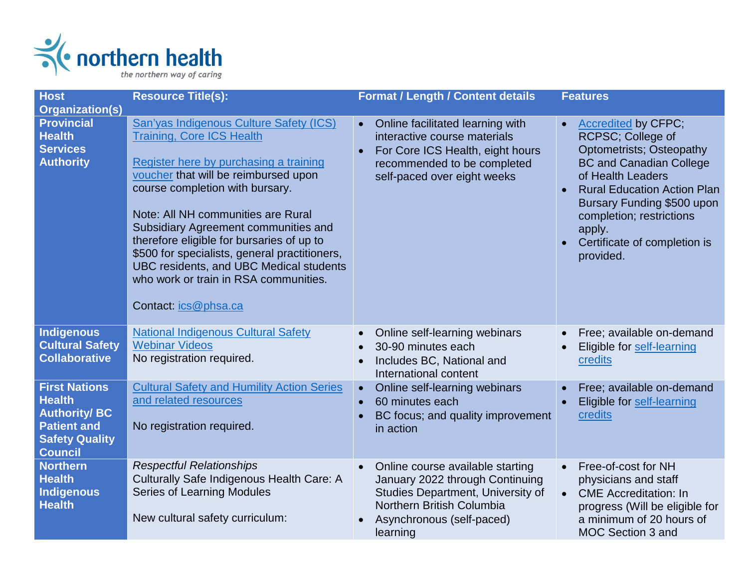

| <b>Host</b>                                                                                                                   | <b>Resource Title(s):</b>                                                                                                                                                                                                                                                                                                                                                                                                                                                                | <b>Format / Length / Content details</b>                                                                                                                                                    | <b>Features</b>                                                                                                                                                                                                                                                                                               |
|-------------------------------------------------------------------------------------------------------------------------------|------------------------------------------------------------------------------------------------------------------------------------------------------------------------------------------------------------------------------------------------------------------------------------------------------------------------------------------------------------------------------------------------------------------------------------------------------------------------------------------|---------------------------------------------------------------------------------------------------------------------------------------------------------------------------------------------|---------------------------------------------------------------------------------------------------------------------------------------------------------------------------------------------------------------------------------------------------------------------------------------------------------------|
| <b>Organization(s)</b><br><b>Provincial</b><br><b>Health</b><br><b>Services</b><br><b>Authority</b>                           | San'yas Indigenous Culture Safety (ICS)<br><b>Training, Core ICS Health</b><br>Register here by purchasing a training<br>voucher that will be reimbursed upon<br>course completion with bursary.<br>Note: All NH communities are Rural<br>Subsidiary Agreement communities and<br>therefore eligible for bursaries of up to<br>\$500 for specialists, general practitioners,<br>UBC residents, and UBC Medical students<br>who work or train in RSA communities.<br>Contact: ics@phsa.ca | Online facilitated learning with<br>interactive course materials<br>For Core ICS Health, eight hours<br>recommended to be completed<br>self-paced over eight weeks                          | <b>Accredited by CFPC;</b><br>$\bullet$<br>RCPSC; College of<br><b>Optometrists; Osteopathy</b><br><b>BC and Canadian College</b><br>of Health Leaders<br><b>Rural Education Action Plan</b><br>Bursary Funding \$500 upon<br>completion; restrictions<br>apply.<br>Certificate of completion is<br>provided. |
| <b>Indigenous</b><br><b>Cultural Safety</b><br><b>Collaborative</b>                                                           | <b>National Indigenous Cultural Safety</b><br><b>Webinar Videos</b><br>No registration required.                                                                                                                                                                                                                                                                                                                                                                                         | Online self-learning webinars<br>$\bullet$<br>30-90 minutes each<br>Includes BC, National and<br>International content                                                                      | Free; available on-demand<br>$\bullet$<br>Eligible for self-learning<br>credits                                                                                                                                                                                                                               |
| <b>First Nations</b><br><b>Health</b><br><b>Authority/BC</b><br><b>Patient and</b><br><b>Safety Quality</b><br><b>Council</b> | <b>Cultural Safety and Humility Action Series</b><br>and related resources<br>No registration required.                                                                                                                                                                                                                                                                                                                                                                                  | Online self-learning webinars<br>$\bullet$<br>60 minutes each<br>$\bullet$<br>BC focus; and quality improvement<br>in action                                                                | Free; available on-demand<br><b>Eligible for self-learning</b><br>credits                                                                                                                                                                                                                                     |
| <b>Northern</b><br><b>Health</b><br><b>Indigenous</b><br><b>Health</b>                                                        | <b>Respectful Relationships</b><br>Culturally Safe Indigenous Health Care: A<br>Series of Learning Modules<br>New cultural safety curriculum:                                                                                                                                                                                                                                                                                                                                            | Online course available starting<br>$\bullet$<br>January 2022 through Continuing<br>Studies Department, University of<br>Northern British Columbia<br>Asynchronous (self-paced)<br>learning | Free-of-cost for NH<br>$\bullet$<br>physicians and staff<br><b>CME</b> Accreditation: In<br>progress (Will be eligible for<br>a minimum of 20 hours of<br>MOC Section 3 and                                                                                                                                   |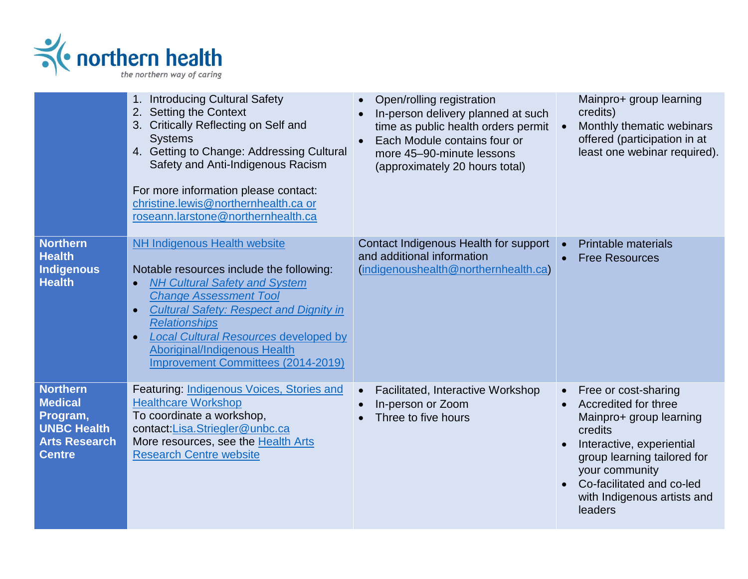

|                                                                                                              | 1. Introducing Cultural Safety<br><b>Setting the Context</b><br>2.<br>Critically Reflecting on Self and<br>3.<br><b>Systems</b><br>4. Getting to Change: Addressing Cultural<br>Safety and Anti-Indigenous Racism<br>For more information please contact:<br>christine.lewis@northernhealth.ca or<br>roseann.larstone@northernhealth.ca                                            | Open/rolling registration<br>In-person delivery planned at such<br>time as public health orders permit<br>Each Module contains four or<br>more 45-90-minute lessons<br>(approximately 20 hours total) | Mainpro+ group learning<br>credits)<br>Monthly thematic webinars<br>$\bullet$<br>offered (participation in at<br>least one webinar required).                                                                                                        |  |
|--------------------------------------------------------------------------------------------------------------|------------------------------------------------------------------------------------------------------------------------------------------------------------------------------------------------------------------------------------------------------------------------------------------------------------------------------------------------------------------------------------|-------------------------------------------------------------------------------------------------------------------------------------------------------------------------------------------------------|------------------------------------------------------------------------------------------------------------------------------------------------------------------------------------------------------------------------------------------------------|--|
| <b>Northern</b><br><b>Health</b><br><b>Indigenous</b><br><b>Health</b>                                       | <b>NH Indigenous Health website</b><br>Notable resources include the following:<br><b>NH Cultural Safety and System</b><br><b>Change Assessment Tool</b><br><b>Cultural Safety: Respect and Dignity in</b><br>$\bullet$<br><b>Relationships</b><br>Local Cultural Resources developed by<br>$\bullet$<br>Aboriginal/Indigenous Health<br><b>Improvement Committees (2014-2019)</b> | Contact Indigenous Health for support<br>and additional information<br>(indigenoushealth@northernhealth.ca)                                                                                           | <b>Printable materials</b><br>$\bullet$<br><b>Free Resources</b>                                                                                                                                                                                     |  |
| <b>Northern</b><br><b>Medical</b><br>Program,<br><b>UNBC Health</b><br><b>Arts Research</b><br><b>Centre</b> | Featuring: Indigenous Voices, Stories and<br><b>Healthcare Workshop</b><br>To coordinate a workshop,<br>contact:Lisa.Striegler@unbc.ca<br>More resources, see the Health Arts<br><b>Research Centre website</b>                                                                                                                                                                    | Facilitated, Interactive Workshop<br>$\bullet$<br>In-person or Zoom<br>Three to five hours                                                                                                            | Free or cost-sharing<br>$\bullet$<br>Accredited for three<br>Mainpro+ group learning<br>credits<br>Interactive, experiential<br>group learning tailored for<br>your community<br>Co-facilitated and co-led<br>with Indigenous artists and<br>leaders |  |